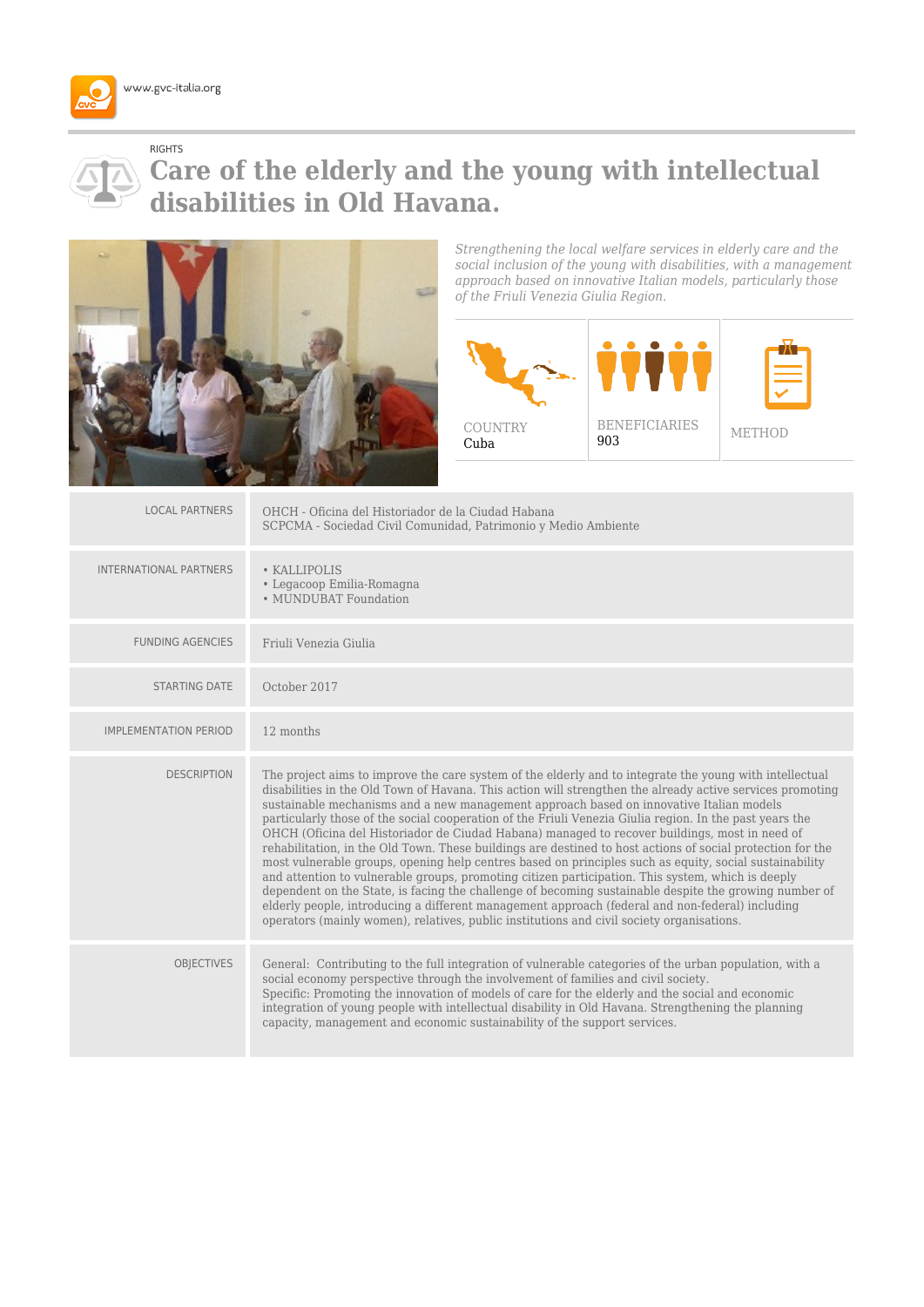

## RIGHTS

## **Care of the elderly and the young with intellectual disabilities in Old Havana.**



*Strengthening the local welfare services in elderly care and the social inclusion of the young with disabilities, with a management approach based on innovative Italian models, particularly those of the Friuli Venezia Giulia Region.*



| <b>LOCAL PARTNERS</b>         | OHCH - Oficina del Historiador de la Ciudad Habana<br>SCPCMA - Sociedad Civil Comunidad, Patrimonio y Medio Ambiente                                                                                                                                                                                                                                                                                                                                                                                                                                                                                                                                                                                                                                                                                                                                                                                                                                                                                                                                                                                                                                              |
|-------------------------------|-------------------------------------------------------------------------------------------------------------------------------------------------------------------------------------------------------------------------------------------------------------------------------------------------------------------------------------------------------------------------------------------------------------------------------------------------------------------------------------------------------------------------------------------------------------------------------------------------------------------------------------------------------------------------------------------------------------------------------------------------------------------------------------------------------------------------------------------------------------------------------------------------------------------------------------------------------------------------------------------------------------------------------------------------------------------------------------------------------------------------------------------------------------------|
| <b>INTERNATIONAL PARTNERS</b> | • KALLIPOLIS<br>• Legacoop Emilia-Romagna<br>• MUNDUBAT Foundation                                                                                                                                                                                                                                                                                                                                                                                                                                                                                                                                                                                                                                                                                                                                                                                                                                                                                                                                                                                                                                                                                                |
| <b>FUNDING AGENCIES</b>       | Friuli Venezia Giulia                                                                                                                                                                                                                                                                                                                                                                                                                                                                                                                                                                                                                                                                                                                                                                                                                                                                                                                                                                                                                                                                                                                                             |
| <b>STARTING DATE</b>          | October 2017                                                                                                                                                                                                                                                                                                                                                                                                                                                                                                                                                                                                                                                                                                                                                                                                                                                                                                                                                                                                                                                                                                                                                      |
| <b>IMPLEMENTATION PERIOD</b>  | 12 months                                                                                                                                                                                                                                                                                                                                                                                                                                                                                                                                                                                                                                                                                                                                                                                                                                                                                                                                                                                                                                                                                                                                                         |
| <b>DESCRIPTION</b>            | The project aims to improve the care system of the elderly and to integrate the young with intellectual<br>disabilities in the Old Town of Havana. This action will strengthen the already active services promoting<br>sustainable mechanisms and a new management approach based on innovative Italian models<br>particularly those of the social cooperation of the Friuli Venezia Giulia region. In the past years the<br>OHCH (Oficina del Historiador de Ciudad Habana) managed to recover buildings, most in need of<br>rehabilitation, in the Old Town. These buildings are destined to host actions of social protection for the<br>most vulnerable groups, opening help centres based on principles such as equity, social sustainability<br>and attention to vulnerable groups, promoting citizen participation. This system, which is deeply<br>dependent on the State, is facing the challenge of becoming sustainable despite the growing number of<br>elderly people, introducing a different management approach (federal and non-federal) including<br>operators (mainly women), relatives, public institutions and civil society organisations. |
| <b>OBJECTIVES</b>             | General: Contributing to the full integration of vulnerable categories of the urban population, with a<br>social economy perspective through the involvement of families and civil society.<br>Specific: Promoting the innovation of models of care for the elderly and the social and economic<br>integration of young people with intellectual disability in Old Havana. Strengthening the planning<br>capacity, management and economic sustainability of the support services.                                                                                                                                                                                                                                                                                                                                                                                                                                                                                                                                                                                                                                                                                |